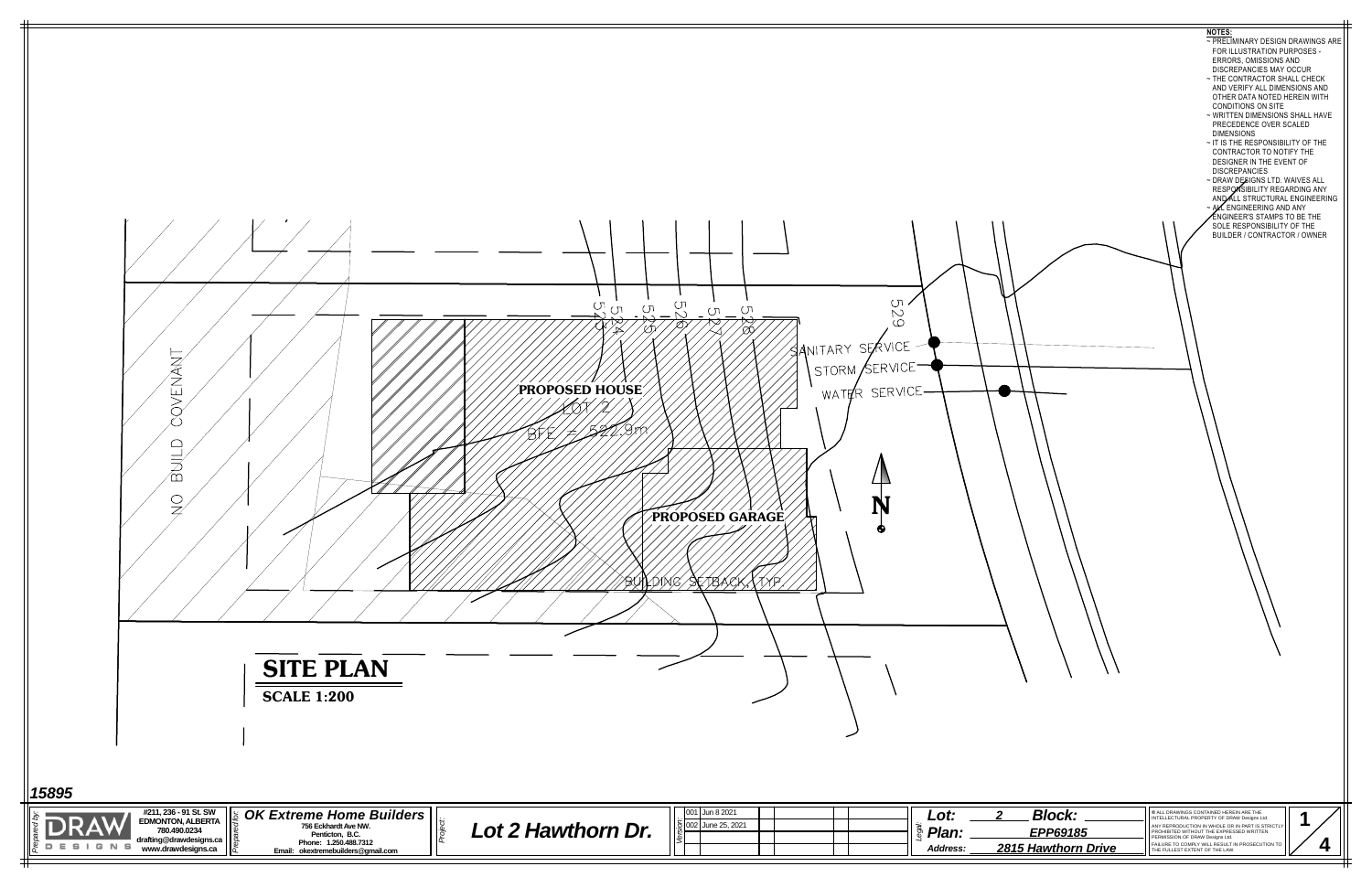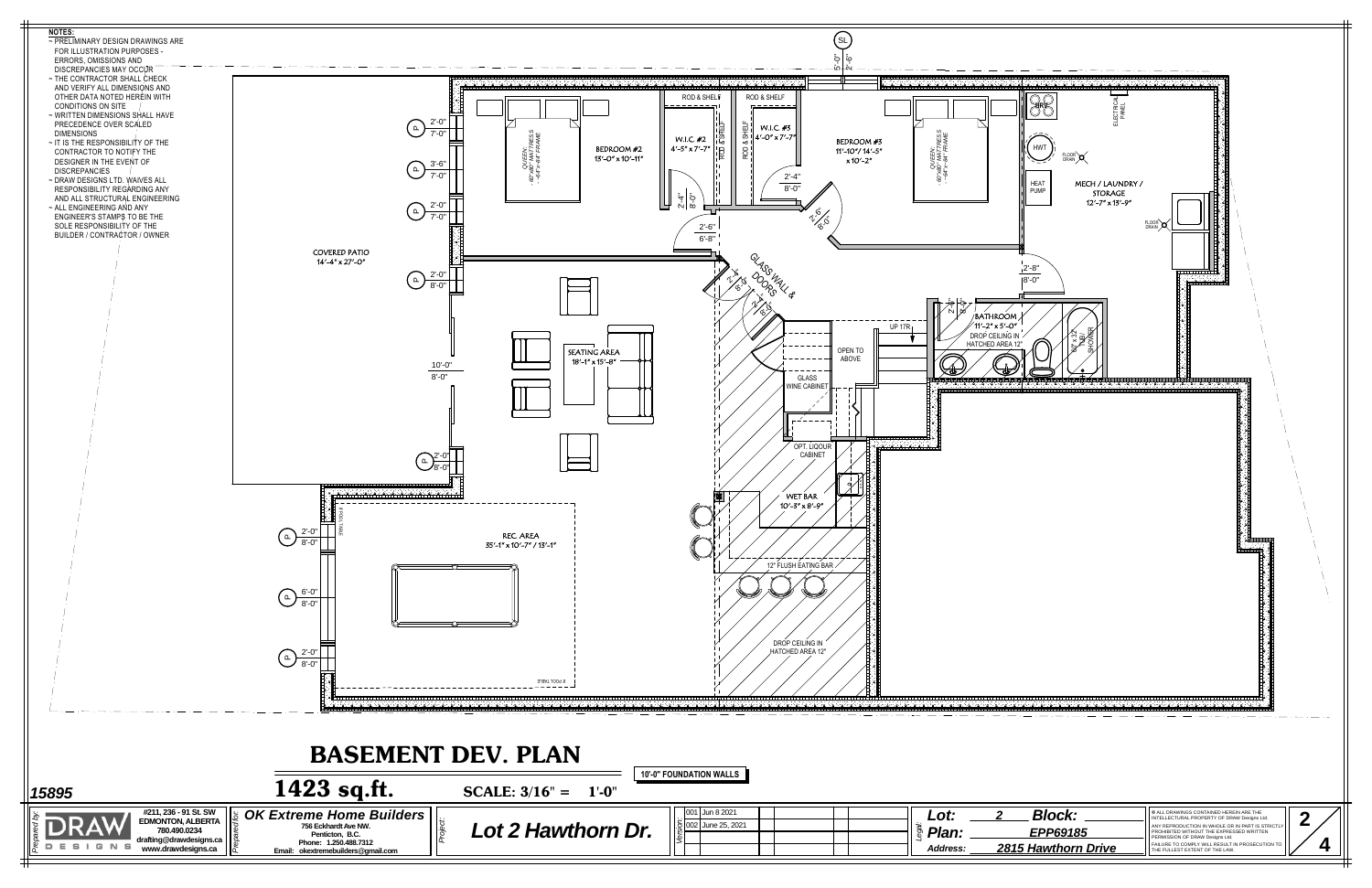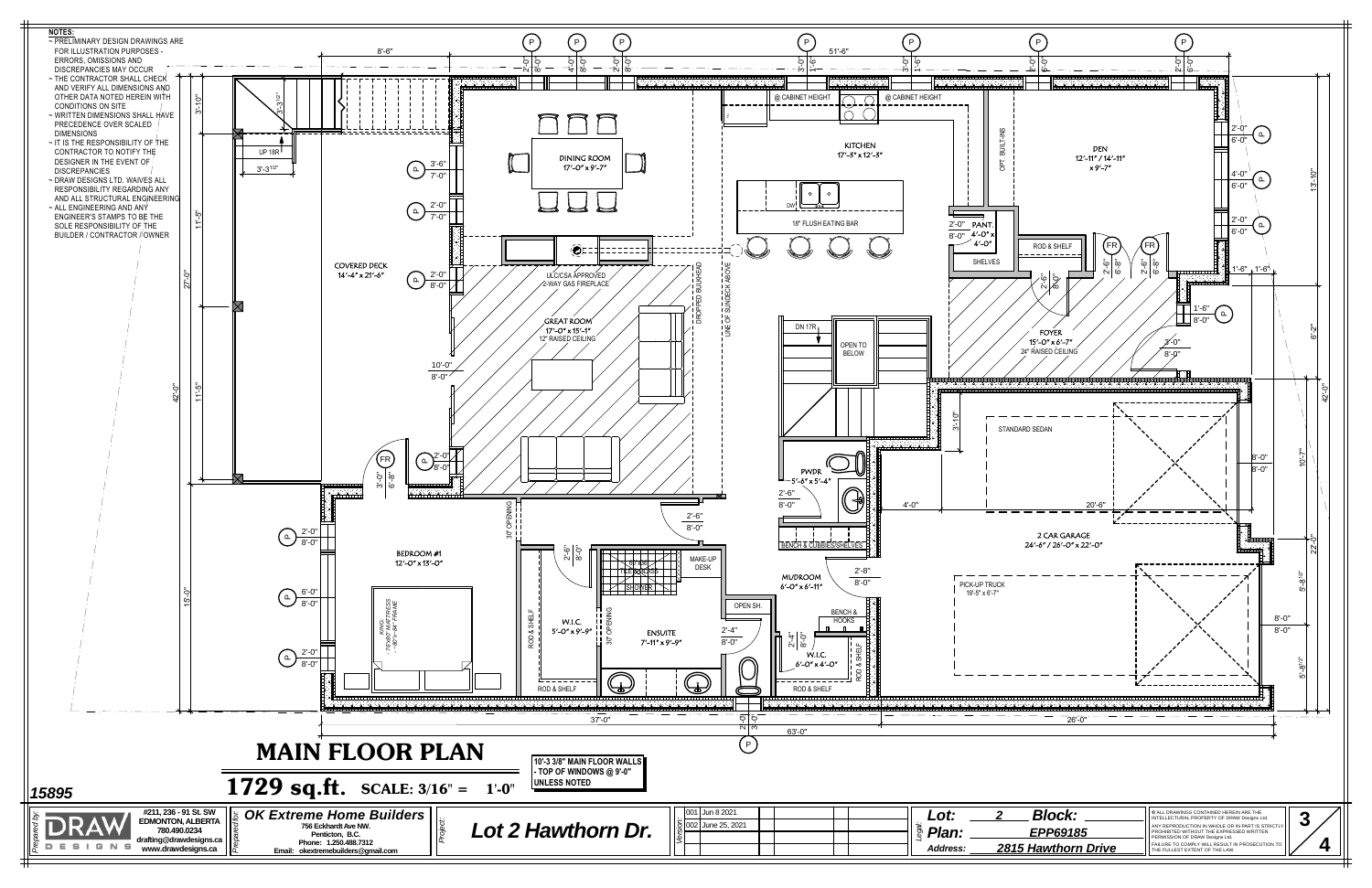